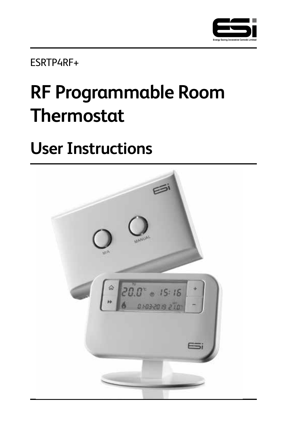

ESRTP4RF+

# **RF Programmable Room Thermostat**

# **User Instructions**

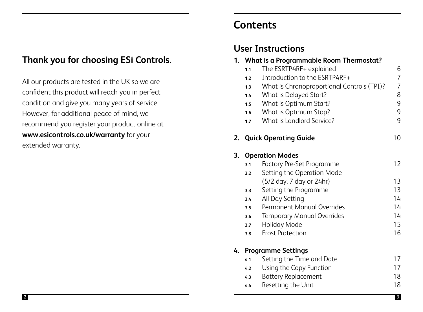# **Thank you for choosing ESi Controls.**

All our products are tested in the UK so we are confident this product will reach you in perfect condition and give you many years of service. However, for additional peace of mind, we recommend you register your product online at **www.esicontrols.co.uk/warranty** for your extended warranty.

# **Contents**

# **User Instructions**

|    | 1. What is a Programmable Room Thermostat? |                                            |                |  |  |  |  |
|----|--------------------------------------------|--------------------------------------------|----------------|--|--|--|--|
|    | 1.1                                        | The ESRTP4RF+ explained                    | 6              |  |  |  |  |
|    | 1.2                                        | Introduction to the ESRTP4RF+              | $\overline{7}$ |  |  |  |  |
|    | 1.3                                        | What is Chronoproportional Controls (TPI)? | $\overline{7}$ |  |  |  |  |
|    | 1.4                                        | What is Delayed Start?                     | 8              |  |  |  |  |
|    | 1.5                                        | What is Optimum Start?                     | 9              |  |  |  |  |
|    | 1.6                                        | What is Optimum Stop?                      | 9              |  |  |  |  |
|    | 1.7                                        | What is Landlord Service?                  | 9              |  |  |  |  |
| 2. |                                            | <b>Quick Operating Guide</b>               | 10             |  |  |  |  |
| 3. |                                            | <b>Operation Modes</b>                     |                |  |  |  |  |
|    | 3.1                                        | <b>Factory Pre-Set Programme</b>           | 12             |  |  |  |  |
|    | 3.2                                        | Setting the Operation Mode                 |                |  |  |  |  |
|    |                                            | (5/2 day, 7 day or 24hr)                   | 13             |  |  |  |  |
|    | 3.3                                        | Setting the Programme                      | 13             |  |  |  |  |
|    | 3.4                                        | All Day Setting                            | 14             |  |  |  |  |
|    | 3.5                                        | Permanent Manual Overrides                 | 14             |  |  |  |  |
|    | 3.6                                        | <b>Temporary Manual Overrides</b>          | 14             |  |  |  |  |
|    | 3.7                                        | Holiday Mode                               | 15             |  |  |  |  |
|    | 3.8                                        | <b>Frost Protection</b>                    | 16             |  |  |  |  |
| 4. | <b>Programme Settings</b>                  |                                            |                |  |  |  |  |
|    | 4.1                                        | Setting the Time and Date                  | 17             |  |  |  |  |
|    | 4.2                                        | Using the Copy Function                    | 17             |  |  |  |  |
|    | 4.3                                        | <b>Battery Replacement</b>                 | 18             |  |  |  |  |
|    |                                            | Department of the trade                    | 10             |  |  |  |  |

**4.4** Resetting the Unit 18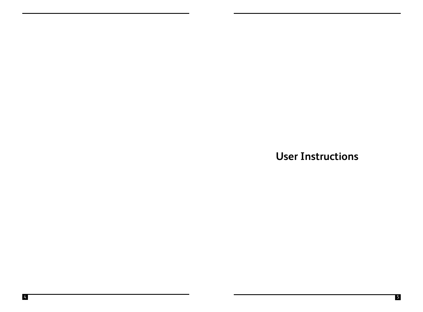**User Instructions**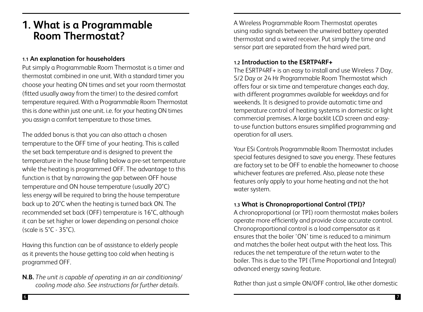# **1. What is a Programmable Room Thermostat?**

#### **1.1 An explanation for householders**

Put simply a Programmable Room Thermostat is a timer and thermostat combined in one unit. With a standard timer you choose your heating ON times and set your room thermostat (fitted usually away from the timer) to the desired comfort temperature required. With a Programmable Room Thermostat this is done within just one unit. i.e. for your heating ON times you assign a comfort temperature to those times.

The added bonus is that you can also attach a chosen temperature to the OFF time of your heating. This is called the set back temperature and is designed to prevent the temperature in the house falling below a pre-set temperature while the heating is programmed OFF. The advantage to this function is that by narrowing the gap between OFF house temperature and ON house temperature (usually 20°C) less energy will be required to bring the house temperature back up to 20°C when the heating is turned back ON. The recommended set back (OFF) temperature is 16°C, although it can be set higher or lower depending on personal choice (scale is  $5^\circ$ C -  $35^\circ$ C).

Having this function can be of assistance to elderly people as it prevents the house getting too cold when heating is programmed OFF.

**N.B.** *The unit is capable of operating in an air conditioning/ cooling mode also. See instructions for further details.* 

A Wireless Programmable Room Thermostat operates using radio signals between the unwired battery operated thermostat and a wired receiver. Put simply the time and sensor part are separated from the hard wired part.

#### **1.2 Introduction to the ESRTP4RF+**

The ESRTP4RF+ is an easy to install and use Wireless 7 Day, 5/2 Day or 24 Hr Programmable Room Thermostat which offers four or six time and temperature changes each day, with different programmes available for weekdays and for weekends. It is designed to provide automatic time and temperature control of heating systems in domestic or light commercial premises. A large backlit LCD screen and easyto-use function buttons ensures simplified programming and operation for all users.

Your ESi Controls Programmable Room Thermostat includes special features designed to save you energy. These features are factory set to be OFF to enable the homeowner to choose whichever features are preferred. Also, please note these features only apply to your home heating and not the hot water system.

#### **1.3 What is Chronoproportional Control (TPI)?**

A chronoproportional (or TPI) room thermostat makes boilers operate more efficiently and provide close accurate control. Chronoproportional control is a load compensator as it ensures that the boiler 'ON' time is reduced to a minimum and matches the boiler heat output with the heat loss. This reduces the net temperature of the return water to the boiler. This is due to the TPI (Time Proportional and Integral) advanced energy saving feature.

Rather than just a simple ON/OFF control, like other domestic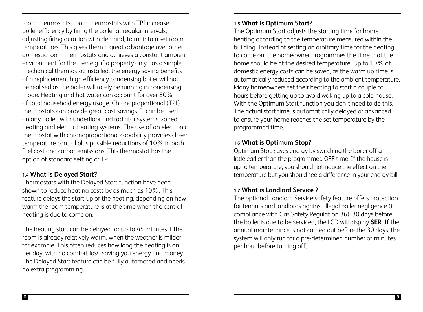room thermostats, room thermostats with TPI increase boiler efficiency by firing the boiler at regular intervals, adjusting firing duration with demand, to maintain set room temperatures. This gives them a great advantage over other domestic room thermostats and achieves a constant ambient environment for the user e.g. if a property only has a simple mechanical thermostat installed, the energy saving benefits of a replacement high efficiency condensing boiler will not be realised as the boiler will rarely be running in condensing mode. Heating and hot water can account for over 80% of total household energy usage. Chronoproportional (TPI) thermostats can provide great cost savings. It can be used on any boiler, with underfloor and radiator systems, zoned heating and electric heating systems. The use of an electronic thermostat with chronoproportional capability provides closer temperature control plus possible reductions of 10% in both fuel cost and carbon emissions. This thermostat has the option of standard setting or TPI.

#### **1.4 What is Delayed Start?**

Thermostats with the Delayed Start function have been shown to reduce heating costs by as much as 10%. This feature delays the start-up of the heating, depending on how warm the room temperature is at the time when the central heating is due to come on.

The heating start can be delayed for up to 45 minutes if the room is already relatively warm, when the weather is milder for example. This often reduces how long the heating is on per day, with no comfort loss, saving you energy and money! The Delayed Start feature can be fully automated and needs no extra programming.

#### **1.5 What is Optimum Start?**

The Optimum Start adjusts the starting time for home heating according to the temperature measured within the building. Instead of setting an arbitrary time for the heating to come on, the homeowner programmes the time that the home should be at the desired temperature. Up to 10% of domestic energy costs can be saved, as the warm up time is automatically reduced according to the ambient temperature. Many homeowners set their heating to start a couple of hours before getting up to avoid waking up to a cold house. With the Optimum Start function you don't need to do this. The actual start time is automatically delayed or advanced to ensure your home reaches the set temperature by the programmed time.

#### **1.6 What is Optimum Stop?**

Optimum Stop saves energy by switching the boiler off a little earlier than the programmed OFF time. If the house is up to temperature, you should not notice the effect on the temperature but you should see a difference in your energy bill.

#### **1.7 What is Landlord Service ?**

The optional Landlord Service safety feature offers protection for tenants and landlords against illegal boiler negligence (in compliance with Gas Safety Regulation 36). 30 days before the boiler is due to be serviced, the LCD will display **SER**. If the annual maintenance is not carried out before the 30 days, the system will only run for a pre-determined number of minutes per hour before turning off.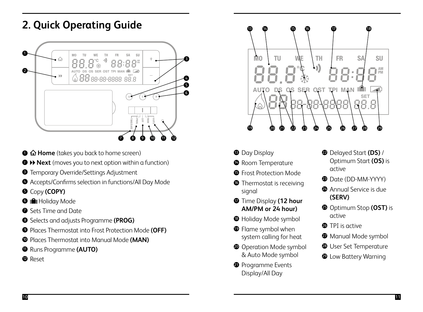# **2. Quick Operating Guide**



- **1**  $\hat{\Omega}$  **Home** (takes you back to home screen)
- <sup>2</sup> **Next** (moves you to next option within a function)
- **<sup>3</sup>** Temporary Override/Settings Adjustment
- $\bullet$  Tempolary Oveniae, Settings Aujustment<br> $\bullet$  Accepts/Confirms selection in functions/All Day Mode
- <sup>5</sup> Copy **(COPY)**
- <sup>6</sup> Holiday Mode **AUTO DS OS SER OST TPI MAN**
- **8** Sets Time and Date
- <sup>8</sup> Selects and adjusts Programme **(PROG)**
- <sup>9</sup> Places Thermostat into Frost Protection Mode **(OFF)**
- <sup>10</sup> Places Thermostat into Manual Mode **(MAN)**
- <sup>11</sup> Runs Programme **(AUTO)**
- <sup>1</sup> Reset



- **13 Day Display**
- <sup>1</sup> Room Temperature
- **6** Frost Protection Mode
- **16** Thermostat is receiving signal
- <sup>17</sup> Time Display **(12 hour AM/PM or 24 hour)**
- <sup>18</sup> Holiday Mode symbol
- <sup>19</sup> Flame symbol when system calling for heat
- <sup>2</sup> Operation Mode symbol & Auto Mode symbol
- <sup>9</sup> Programme Events Display/All Day
- <sup>22</sup> Delayed Start **(DS)** / Optimum Start **(OS)** is active
- <sup>23</sup> Date (DD-MM-YYYY)
- <sup>2</sup> Annual Service is due **(SERV)**
- <sup>25</sup> Optimum Stop **(OST)** is active
- <sup>3</sup> TPI is active
- <sup>2</sup> Manual Mode symbol
- <sup>3</sup> User Set Temperature
- <sup>29</sup> Low Battery Warning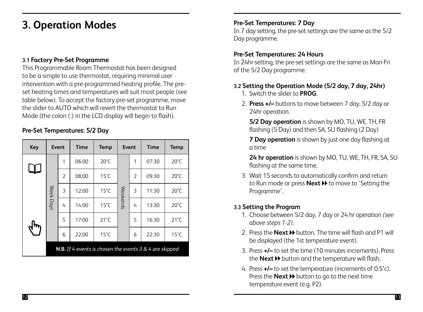# **3. Operation Modes**

#### **3.1 Factory Pre-Set Programme**

This Programmable Room Thermostat has been designed to be a simple to use thermostat, requiring minimal user intervention with a pre-programmed heating profile. The preset heating times and temperatures will suit most people (see table below). To accept the factory pre-set programme, move the slider to AUTO which will revert the thermostat to Run Mode (the colon (:) in the LCD display will begin to flash).

#### **Pre-Set Temperatures: 5/2 Day**

| Key | Event                                                            |                          | <b>Time</b> | Temp           | Event    |   | <b>Time</b> | <b>Temp</b>    |  |  |
|-----|------------------------------------------------------------------|--------------------------|-------------|----------------|----------|---|-------------|----------------|--|--|
|     |                                                                  | 1                        | 06:00       | $20^{\circ}$ C |          | 1 | 07:30       | $20^{\circ}$ C |  |  |
| ┶┶  |                                                                  | $\overline{\phantom{a}}$ | 08:00       | $15^{\circ}$ C |          | 2 | 09:30       | $20^{\circ}$ C |  |  |
|     | Week Days                                                        | 3                        | 12:00       | $15^{\circ}$ C |          | 3 | 11:30       | $20^{\circ}$ C |  |  |
|     |                                                                  | 4                        | 14:00       | $15^{\circ}$ C | Weekends | 4 | 13:30       | $20^{\circ}$ C |  |  |
|     |                                                                  | 5                        | 17:00       | $21^{\circ}$ C |          | 5 | 16:30       | $21^{\circ}$ C |  |  |
|     |                                                                  | 6                        | 22:00       | $15^{\circ}$ C |          | 6 | 22:30       | $15^{\circ}$ C |  |  |
|     | <b>N.B.</b> If 4 events is chosen the events $3 & 4$ are skipped |                          |             |                |          |   |             |                |  |  |

#### **Pre-Set Temperatures: 7 Day**

In 7 day setting, the pre-set settings are the same as the 5/2 Day programme.

#### **Pre-Set Temperatures: 24 Hours**

In 24hr setting, the pre-set settings are the same as Mon-Fri of the 5/2 Day programme.

#### **3.2 Setting the Operation Mode (5/2 day, 7 day, 24hr)**

- 1. Switch the slider to **PROG**.
- 2. **Press +/–** buttons to move between 7 day, 5/2 day or 24hr operation.

 **5/2 Day operation** is shown by MO, TU, WE, TH, FR flashing (5 Day) and then SA, SU flashing (2 Day)

 **7 Day operation** is shown by just one day flashing at a time

 **24 hr operation** is shown by MO, TU, WE, TH, FR, SA, SU flashing at the same time.

3. Wait 15 seconds to automatically confirm and return to Run mode or press **Next >>** to move to 'Setting the Programme'.

#### **3.3 Setting the Program**

- 1. Choose between 5/2 day, 7 day or 24 hr operation *(see above steps 1-2)*.
- 2. Press the **Next >>** button. The time will flash and P1 will be displayed (the 1st temperature event).
- 3. Press **+/–** to set the time (10 minutes increments). Press the **Next >>** button and the temperature will flash.
- 4. Press **+/–** to set the temperature (increments of 0.5°c). Press the **Next >>** button to go to the next time temperature event (e.g. P2).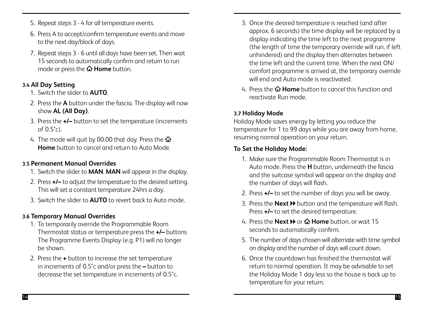- 5. Repeat steps 3 4 for all temperature events.
- 6. Press A to accept/confirm temperature events and move to the next day/block of days.
- 7. Repeat steps 3 6 until all days have been set. Then wait 15 seconds to automatically confirm and return to run mode or press the  $\Omega$  **Home** button.

### **3.4 All Day Setting**

- 1. Switch the slider to **AUTO**.
- 2. Press the **A** button under the fascia. The display will now show **AL (All Day)**.
- 3. Press the **+/–** button to set the temperature (increments of  $(0.5^{\circ}c)$ .
- 4. The mode will quit by 00.00 that day. Press the  $\mathbf{\hat{\Omega}}$ **Home** button to cancel and return to Auto Mode.

### **3.5 Permanent Manual Overrides**

- 1. Switch the slider to **MAN**. **MAN** will appear in the display.
- 2. Press **+/–** to adjust the temperature to the desired setting. This will set a constant temperature 24hrs a day.
- 3. Switch the slider to **AUTO** to revert back to Auto mode.

## **3.6 Temporary Manual Overrides**

- 1. To temporarily override the Programmable Room Thermostat status or temperature press the **+/–** buttons The Programme Events Display (e.g. P1) will no longer be shown.
- 2. Press the **+** button to increase the set temperature in increments of 0.5°c and/or press the **–** button to decrease the set temperature in increments of 0.5°c.
- 3. Once the desired temperature is reached (and after approx. 6 seconds) the time display will be replaced by a display indicating the time left to the next programme (the length of time the temporary override will run, if left unhindered) and the display then alternates between the time left and the current time. When the next ON/ comfort programme is arrived at, the temporary override will end and Auto mode is reactivated.
- 4. Press the **Home** button to cancel this function and reactivate Run mode.

### **3.7 Holiday Mode**

Holiday Mode saves energy by letting you reduce the temperature for 1 to 99 days while you are away from home, resuming normal operation on your return.

### **To Set the Holiday Mode:**

- 1. Make sure the Programmable Room Thermostat is in Auto mode. Press the **H** button, underneath the fascia and the suitcase symbol will appear on the display and the number of days will flash.
- 2. Press **+/–** to set the number of days you will be away.
- 3. Press the **Next >>** button and the temperature will flash. Press **+/–** to set the desired temperature.
- 4. Press the **Next »** or  $\hat{\omega}$  **Home** button, or wait 15 seconds to automatically confirm.
- 5. The number of days chosen will alternate with time symbol on display and the number of days will count down.
- 6. Once the countdown has finished the thermostat will return to normal operation. It may be advisable to set the Holiday Mode 1 day less so the house is back up to temperature for your return.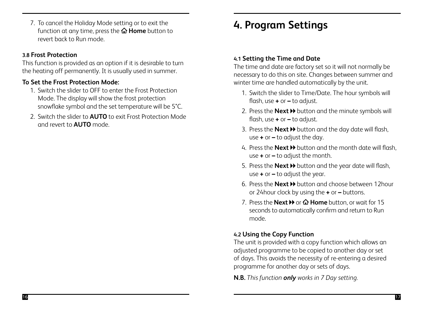7. To cancel the Holiday Mode setting or to exit the function at any time, press the  $\Omega$  **Home** button to revert back to Run mode.

#### **3.8 Frost Protection**

This function is provided as an option if it is desirable to turn the heating off permanently. It is usually used in summer.

#### **To Set the Frost Protection Mode:**

- 1. Switch the slider to OFF to enter the Frost Protection Mode. The display will show the frost protection snowflake symbol and the set temperature will be 5°C.
- 2. Switch the slider to **AUTO** to exit Frost Protection Mode and revert to **AUTO** mode.

# **4. Program Settings**

#### **4.1 Setting the Time and Date**

The time and date are factory set so it will not normally be necessary to do this on site. Changes between summer and winter time are handled automatically by the unit.

- 1. Switch the slider to Time/Date. The hour symbols will flash, use **+** or **–** to adjust.
- 2. Press the **Next »** button and the minute symbols will flash, use **+** or **–** to adjust.
- 3. Press the **Next >>** button and the day date will flash, use **+** or **–** to adjust the day.
- 4. Press the **Next >>** button and the month date will flash use **+** or **–** to adjust the month.
- 5. Press the **Next >>** button and the year date will flash, use **+** or **–** to adjust the year.
- 6. Press the **Next** button and choose between 12hour or 24hour clock by using the **+** or **–** buttons.
- 7. Press the **Next >>** or  $\Omega$  Home button, or wait for 15 seconds to automatically confirm and return to Run mode.

### **4.2 Using the Copy Function**

The unit is provided with a copy function which allows an adjusted programme to be copied to another day or set of days. This avoids the necessity of re-entering a desired programme for another day or sets of days.

**N.B.** *This function only works in 7 Day setting.*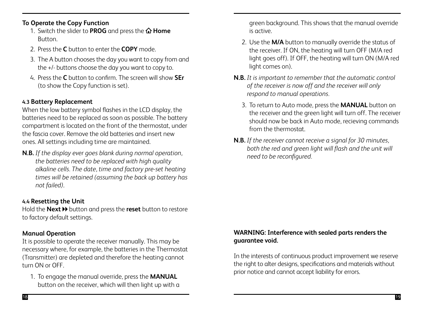#### **To Operate the Copy Function**

- 1. Switch the slider to **PROG** and press the  $\hat{\Omega}$  **Home** Button.
- 2. Press the **C** button to enter the **COPY** mode.
- 3. The A button chooses the day you want to copy from and the +/- buttons choose the day you want to copy to.
- 4. Press the **C** button to confirm. The screen will show **SEr** (to show the Copy function is set).

#### **4.3 Battery Replacement**

When the low battery symbol flashes in the LCD display, the batteries need to be replaced as soon as possible. The battery compartment is located on the front of the thermostat, under the fascia cover. Remove the old batteries and insert new ones. All settings including time are maintained.

**N.B.** *If the display ever goes blank during normal operation, the batteries need to be replaced with high quality alkaline cells. The date, time and factory pre-set heating times will be retained (assuming the back up battery has not failed)*.

### **4.4 Resetting the Unit**

Hold the **Next >>** button and press the **reset** button to restore to factory default settings.

#### **Manual Operation**

It is possible to operate the receiver manually. This may be necessary where, for example, the batteries in the Thermostat (Transmitter) are depleted and therefore the heating cannot turn ON or OFF.

1. To engage the manual override, press the **MANUAL** button on the receiver, which will then light up with a green background. This shows that the manual override is active.

- 2. Use the **M/A** button to manually override the status of the receiver. If ON, the heating will turn OFF (M/A red light goes off). If OFF, the heating will turn ON (M/A red light comes on).
- **N.B.** *It is important to remember that the automatic control of the receiver is now off and the receiver will only respond to manual operations.*
	- 3. To return to Auto mode, press the **MANUAL** button on the receiver and the green light will turn off. The receiver should now be back in Auto mode, recieving commands from the thermostat.
- **N.B.** *If the receiver cannot receive a signal for 30 minutes, both the red and green light will flash and the unit will need to be reconfigured.*

#### **WARNING: Interference with sealed parts renders the guarantee void.**

In the interests of continuous product improvement we reserve the right to alter designs, specifications and materials without prior notice and cannot accept liability for errors.